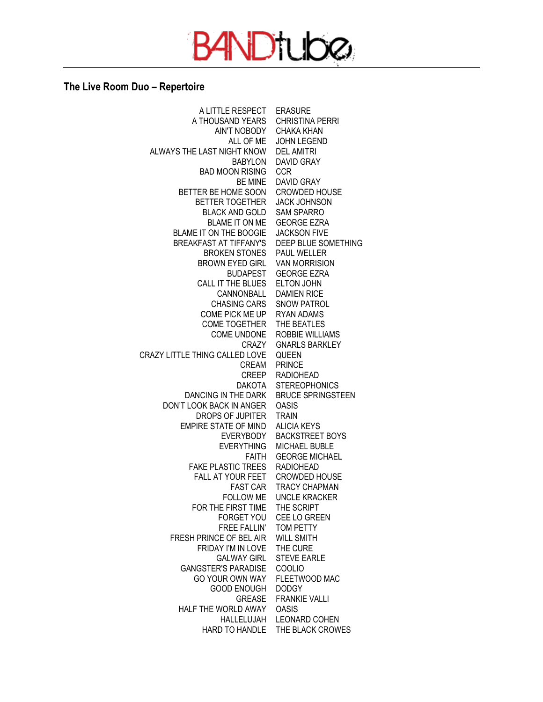

## **The Live Room Duo – Repertoire**

A LITTLE RESPECT ERASURE A THOUSAND YEARS CHRISTINA PERRI AIN'T NOBODY ALL OF ME JOHN LEGEND ALWAYS THE LAST NIGHT KNOW BABYLON BAD MOON RISING CCR BE MINE BETTER BE HOME SOON BETTER TOGETHER BLACK AND GOLD SAM SPARRO BLAME IT ON ME GEORGE EZRA BLAME IT ON THE BOOGIE JACKSON FIVE BREAKFAST AT TIFFANY'S DEEP BLUE SOMETHING BROKEN STONES PAUL WELLER BROWN EYED GIRL VAN MORRISION BUDAPEST CALL IT THE BLUES ELTON JOHN CANNONBALL CHASING CARS COME PICK ME UP COME TOGETHER THE BEATLES COME UNDONE CRAZY CRAZY LITTLE THING CALLED LOVE CREAM CREEP DAKOTA DANCING IN THE DARK BRUCE SPRINGSTEEN DON'T LOOK BACK IN ANGER DROPS OF JUPITER EMPIRE STATE OF MIND ALICIA KEYS EVERYBODY BACKSTREET BOYS EVERYTHING MICHAEL BUBLE FAITH GEORGE MICHAEL FAKE PLASTIC TREES RADIOHEAD FALL AT YOUR FEET CROWDED HOUSE FAST CAR FOLLOW ME UNCLE KRACKER FOR THE FIRST TIME THE SCRIPT FORGET YOU CEE LO GREEN FREE FALLIN' FRESH PRINCE OF BEL AIR FRIDAY I'M IN LOVE GALWAY GIRL STEVE EARLE GANGSTER'S PARADISE COOLIO GO YOUR OWN WAY GOOD ENOUGH GREASE HALF THE WORLD AWAY HALLELUJAH LEONARD COHEN HARD TO HANDLE THE BLACK CROWESCHAKA KHAN DEL AMITRI DAVID GRAY DAVID GRAY CROWDED HOUSE JACK JOHNSON GEORGE EZRA DAMIEN RICE SNOW PATROL RYAN ADAMS ROBBIE WILLIAMS GNARLS BARKLEY QUEEN PRINCE RADIOHEAD STEREOPHONICS OASIS TRAIN TRACY CHAPMAN TOM PETTY WILL SMITH THE CURE FLEETWOOD MAC DODGY FRANKIE VALLI OASIS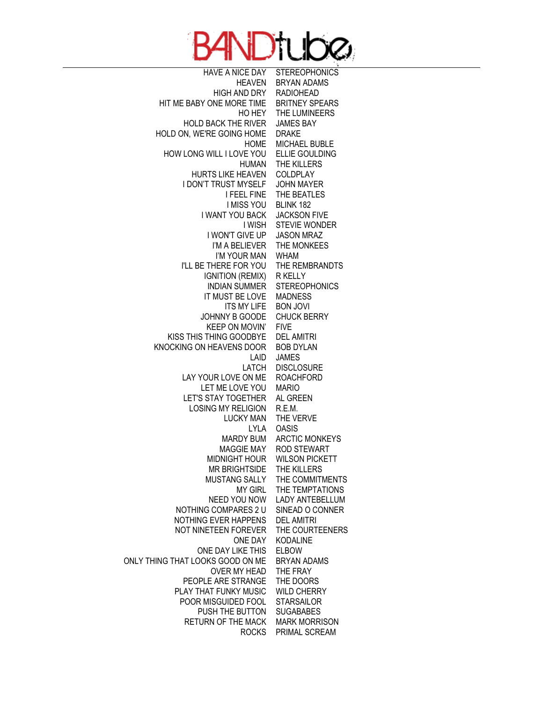

HAVE A NICE DAY HEAVEN HIGH AND DRY HIT ME BABY ONE MORE TIME HO HEY HOLD BACK THE RIVER HOLD ON, WE'RE GOING HOME HOME HOW LONG WILL I LOVE YOU HUMAN HURTS LIKE HEAVEN I DON'T TRUST MYSELF I FEEL FINE I MISS YOU I WANT YOU BACK I WISH I WON'T GIVE UP I'M A BELIEVER I'M YOUR MAN I'LL BE THERE FOR YOU IGNITION (REMIX) INDIAN SUMMER IT MUST BE LOVE ITS MY LIFE JOHNNY B GOODE KEEP ON MOVIN' KISS THIS THING GOODBYE KNOCKING ON HEAVENS DOOR LAID LATCH LAY YOUR LOVE ON ME LET ME LOVE YOU LET'S STAY TOGETHER LOSING MY RELIGION LUCKY MAN LYLA MARDY BUM MAGGIE MAY MIDNIGHT HOUR MR BRIGHTSIDE MUSTANG SALLY MY GIRL NEED YOU NOW NOTHING COMPARES 2 U NOTHING EVER HAPPENS NOT NINETEEN FOREVER ONE DAY ONE DAY LIKE THIS ONLY THING THAT LOOKS GOOD ON ME OVER MY HEAD PEOPLE ARE STRANGE PLAY THAT FUNKY MUSIC POOR MISGUIDED FOOL PUSH THE BUTTON RETURN OF THE MACK

ROCKS PRIMAL SCREAM**STEREOPHONICS** BRYAN ADAMS RADIOHEAD BRITNEY SPEARS THE LUMINEERS JAMES BAY DRAKE MICHAEL BUBLE ELLIE GOULDING THE KILLERS COLDPLAY JOHN MAYER THE BEATLES BLINK 182 JACKSON FIVE STEVIE WONDER JASON MRAZ THE MONKEES WHAM THE REMBRANDTS R KELLY **STEREOPHONICS** MADNESS BON JOVI CHUCK BERRY FIVE DEL AMITRI BOB DYLAN JAMES **DISCLOSURE** ROACHFORD MARIO AL GREEN R.E.M. THE VERVE OASIS ARCTIC MONKEYS ROD STEWART WILSON PICKETT THE KILLERS THE COMMITMENTS THE TEMPTATIONS LADY ANTEBELLUM SINEAD O CONNER DEL AMITRI THE COURTEENERS KODALINE ELBOW BRYAN ADAMS THE FRAY THE DOORS WILD CHERRY **STARSAILOR SUGABABES** MARK MORRISON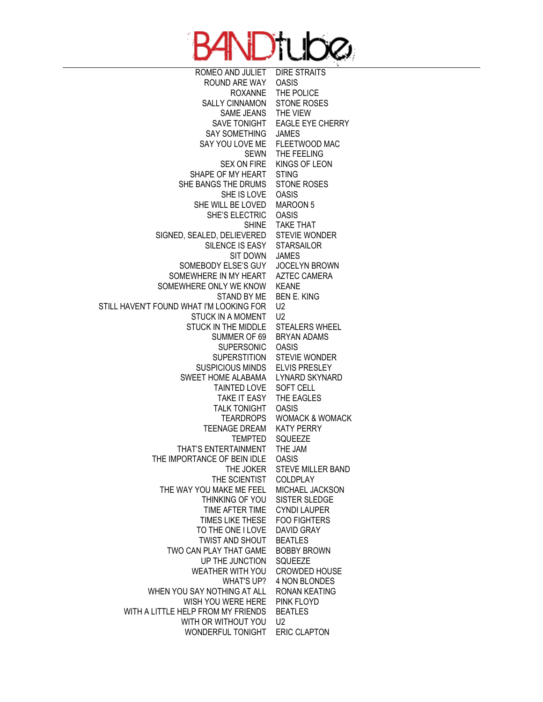

ROMEO AND JULIET ROUND ARE WAY ROXANNE SALLY CINNAMON SAME JEANS SAVE TONIGHT SAY SOMETHING SAY YOU LOVE ME SEWN SEX ON FIRE SHAPE OF MY HEART SHE BANGS THE DRUMS SHE IS LOVE SHE WILL BE LOVED SHE'S ELECTRIC SHINE SIGNED, SEALED, DELIEVERED SILENCE IS EASY SIT DOWN SOMEBODY ELSE'S GUY SOMEWHERE IN MY HEART SOMEWHERE ONLY WE KNOW STAND BY ME STILL HAVEN'T FOUND WHAT I'M LOOKING FOR STUCK IN A MOMENT STUCK IN THE MIDDLE SUMMER OF 69 SUPERSONIC **SUPERSTITION** SUSPICIOUS MINDS SWEET HOME ALABAMA TAINTED LOVE TAKE IT EASY TALK TONIGHT **TEARDROPS** TEENAGE DREAM TEMPTED THAT'S ENTERTAINMENT THE IMPORTANCE OF BEIN IDLE THE JOKER STEVE MILLER BAND THE SCIENTIST THE WAY YOU MAKE ME FEEL THINKING OF YOU TIME AFTER TIME TIMES LIKE THESE TO THE ONE I LOVE TWIST AND SHOUT TWO CAN PLAY THAT GAME UP THE JUNCTION WEATHER WITH YOU WHAT'S UP? WHEN YOU SAY NOTHING AT ALL WISH YOU WERE HERE WITH A LITTLE HELP FROM MY FRIENDS WITH OR WITHOUT YOU WONDERFUL TONIGHT ERIC CLAPTONDIRE STRAITS OASIS THE POLICE STONE ROSES THE VIEW EAGLE EYE CHERRY JAMES FLEETWOOD MAC THE FEELING KINGS OF LEON **STING** STONE ROSES OASIS MAROON 5 OASIS TAKE THAT STEVIE WONDER **STARSAILOR** JAMES JOCELYN BROWN AZTEC CAMERA KEANE BEN E. KING  $U<sub>2</sub>$  $U<sub>2</sub>$ STEALERS WHEEL BRYAN ADAMS OASIS STEVIE WONDER ELVIS PRESLEY LYNARD SKYNARD SOFT CELL THE EAGLES OASIS WOMACK & WOMACK KATY PERRY SQUEEZE THE JAM OASIS COLDPLAY MICHAEL JACKSON SISTER SLEDGE CYNDI LAUPER FOO FIGHTERS DAVID GRAY BEATLES BOBBY BROWN SQUEEZE CROWDED HOUSE 4 NON BLONDES RONAN KEATING PINK FLOYD BEATLES  $U<sub>2</sub>$